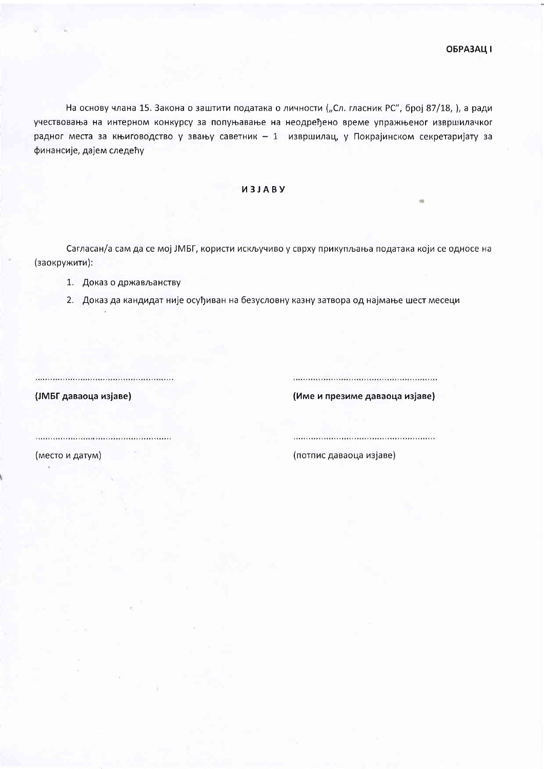На основу члана 15. Закона о заштити података о личности ("Сл. гласник РС", број 87/18, ), а ради учествовања на интерном конкурсу за попуњавање на неодређено време упражњеног извршилачког радног места за књиговодство у звању саветник - 1 извршилац, у Покрајинском секретаријату за финансије, дајем следећу

## *U3JABY*

Сагласан/а сам да се мој ЈМБГ, користи искључиво у сврху прикупљања података који се односе на (заокружити):

- 1. Доказ о држављанству
- 2. Доказ да кандидат није осуђиван на безусловну казну затвора од најмање шест месеци

(ЈМБГ даваоца изјаве)

(Име и презиме даваоца изјаве)

(место и датум)

.............................

(потпис даваоца изјаве)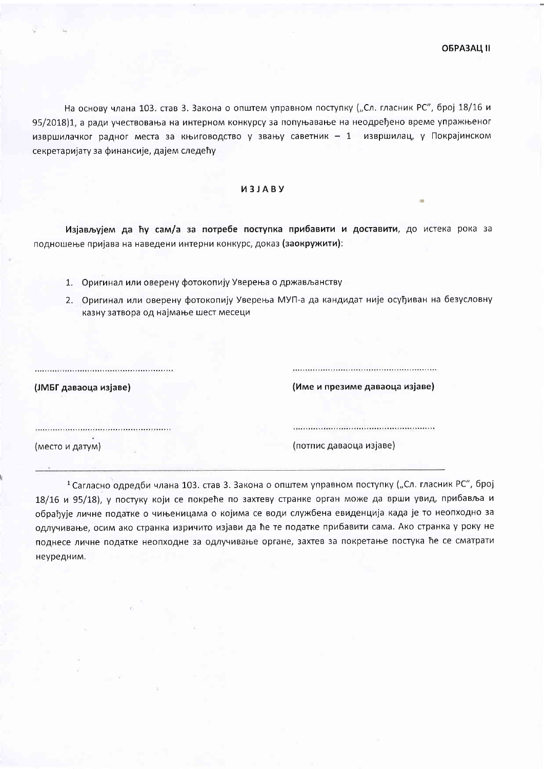На основу члана 103. став 3. Закона о општем управном поступку ("Сл. гласник РС", број 18/16 и 95/2018)1, а ради учествовања на интерном конкурсу за попуњавање на неодређено време упражњеног извршилачког радног места за књиговодство у звању саветник - 1 извршилац, у Покрајинском секретаријату за финансије, дајем следећу

## *M3JABY*

Изјављујем да ћу сам/а за потребе поступка прибавити и доставити, до истека рока за подношење пријава на наведени интерни конкурс, доказ (заокружити):

- 1. Оригинал или оверену фотокопију Уверења о држављанству
- 2. Оригинал или оверену фотокопију Уверења МУП-а да кандидат није осуђиван на безусловну казну затвора од најмање шест месеци

| (ЈМБГ даваоца изјаве) | (Име и презиме даваоца изјаве) |
|-----------------------|--------------------------------|
|                       |                                |
| (место и датум)       | (потпис даваоца изјаве)        |

<sup>1</sup> Сагласно одредби члана 103. став 3. Закона о општем управном поступку ("Сл. гласник РС", број 18/16 и 95/18), у постуку који се покреће по захтеву странке орган може да врши увид, прибавља и обрађује личне податке о чињеницама о којима се води службена евиденција када је то неопходно за одлучивање, осим ако странка изричито изјави да ће те податке прибавити сама. Ако странка у року не поднесе личне податке неопходне за одлучивање органе, захтев за покретање постука ће се сматрати неуредним.